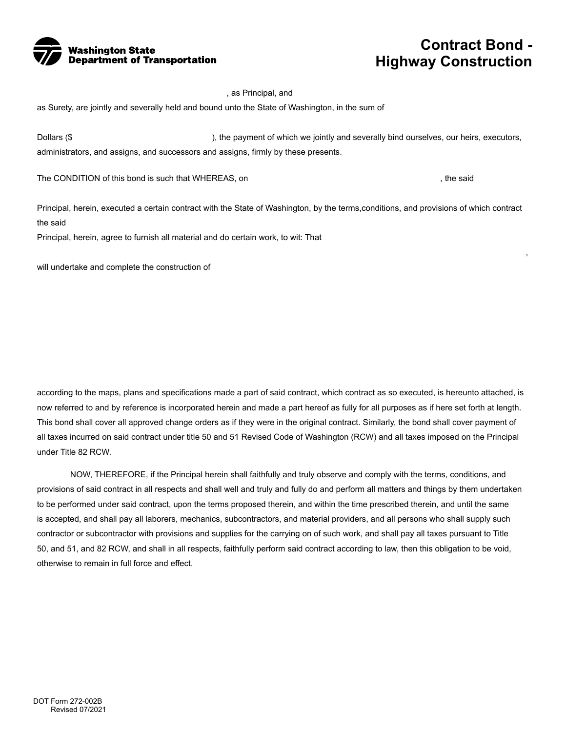

## **Contract Bond - Highway Construction**

, as Principal, and

as Surety, are jointly and severally held and bound unto the State of Washington, in the sum of

Dollars (\$ ), the payment of which we jointly and severally bind ourselves, our heirs, executors, administrators, and assigns, and successors and assigns, firmly by these presents.

The CONDITION of this bond is such that WHEREAS, on  $\blacksquare$ , the said

,

Principal, herein, executed a certain contract with the State of Washington, by the terms,conditions, and provisions of which contract the said

Principal, herein, agree to furnish all material and do certain work, to wit: That

will undertake and complete the construction of

according to the maps, plans and specifications made a part of said contract, which contract as so executed, is hereunto attached, is now referred to and by reference is incorporated herein and made a part hereof as fully for all purposes as if here set forth at length. This bond shall cover all approved change orders as if they were in the original contract. Similarly, the bond shall cover payment of all taxes incurred on said contract under title 50 and 51 Revised Code of Washington (RCW) and all taxes imposed on the Principal under Title 82 RCW.

NOW, THEREFORE, if the Principal herein shall faithfully and truly observe and comply with the terms, conditions, and provisions of said contract in all respects and shall well and truly and fully do and perform all matters and things by them undertaken to be performed under said contract, upon the terms proposed therein, and within the time prescribed therein, and until the same is accepted, and shall pay all laborers, mechanics, subcontractors, and material providers, and all persons who shall supply such contractor or subcontractor with provisions and supplies for the carrying on of such work, and shall pay all taxes pursuant to Title 50, and 51, and 82 RCW, and shall in all respects, faithfully perform said contract according to law, then this obligation to be void, otherwise to remain in full force and effect.